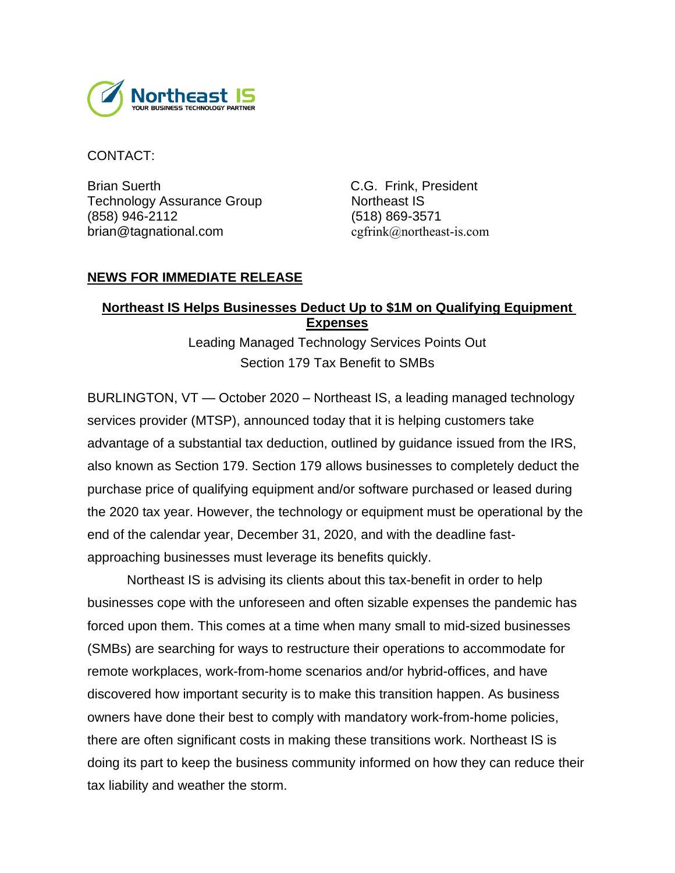

CONTACT:

Brian Suerth C.G. Frink, President Technology Assurance Group Northeast IS (858) 946-2112 (518) 869-3571 brian@tagnational.com cgfrink@northeast-is.com

## **NEWS FOR IMMEDIATE RELEASE**

## **Northeast IS Helps Businesses Deduct Up to \$1M on Qualifying Equipment Expenses**

Leading Managed Technology Services Points Out Section 179 Tax Benefit to SMBs

BURLINGTON, VT — October 2020 – Northeast IS, a leading managed technology services provider (MTSP), announced today that it is helping customers take advantage of a substantial tax deduction, outlined by guidance issued from the IRS, also known as Section 179. Section 179 allows businesses to completely deduct the purchase price of qualifying equipment and/or software purchased or leased during the 2020 tax year. However, the technology or equipment must be operational by the end of the calendar year, December 31, 2020, and with the deadline fastapproaching businesses must leverage its benefits quickly.

Northeast IS is advising its clients about this tax-benefit in order to help businesses cope with the unforeseen and often sizable expenses the pandemic has forced upon them. This comes at a time when many small to mid-sized businesses (SMBs) are searching for ways to restructure their operations to accommodate for remote workplaces, work-from-home scenarios and/or hybrid-offices, and have discovered how important security is to make this transition happen. As business owners have done their best to comply with mandatory work-from-home policies, there are often significant costs in making these transitions work. Northeast IS is doing its part to keep the business community informed on how they can reduce their tax liability and weather the storm.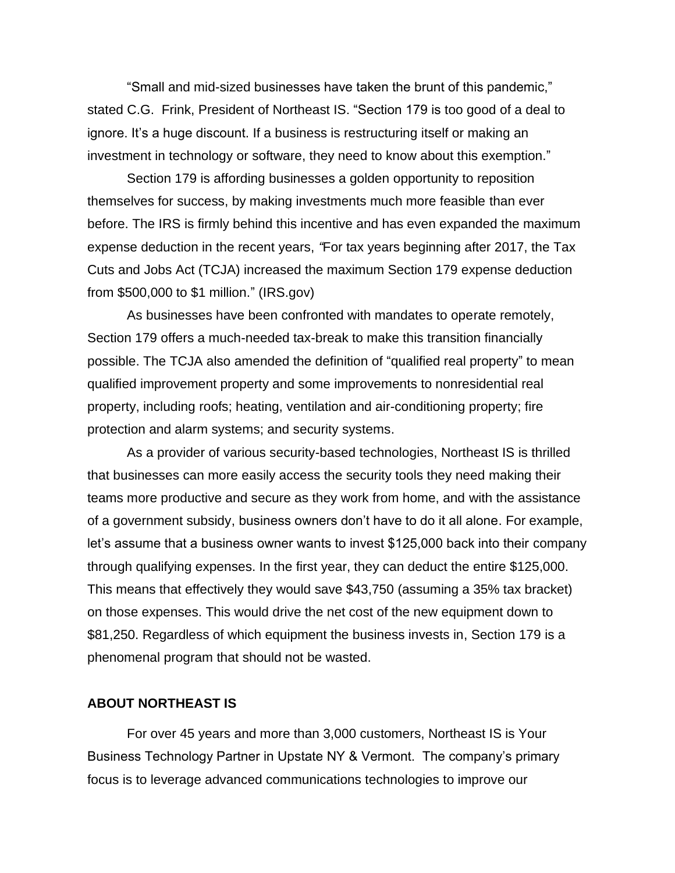"Small and mid-sized businesses have taken the brunt of this pandemic," stated C.G. Frink, President of Northeast IS. "Section 179 is too good of a deal to ignore. It's a huge discount. If a business is restructuring itself or making an investment in technology or software, they need to know about this exemption."

Section 179 is affording businesses a golden opportunity to reposition themselves for success, by making investments much more feasible than ever before. The IRS is firmly behind this incentive and has even expanded the maximum expense deduction in the recent years, *"*For tax years beginning after 2017, the Tax Cuts and Jobs Act (TCJA) increased the maximum Section 179 expense deduction from \$500,000 to \$1 million." (IRS.gov)

As businesses have been confronted with mandates to operate remotely, Section 179 offers a much-needed tax-break to make this transition financially possible. The TCJA also amended the definition of "qualified real property" to mean qualified improvement property and some improvements to nonresidential real property, including roofs; heating, ventilation and air-conditioning property; fire protection and alarm systems; and security systems.

As a provider of various security-based technologies, Northeast IS is thrilled that businesses can more easily access the security tools they need making their teams more productive and secure as they work from home, and with the assistance of a government subsidy, business owners don't have to do it all alone. For example, let's assume that a business owner wants to invest \$125,000 back into their company through qualifying expenses. In the first year, they can deduct the entire \$125,000. This means that effectively they would save \$43,750 (assuming a 35% tax bracket) on those expenses. This would drive the net cost of the new equipment down to \$81,250. Regardless of which equipment the business invests in, Section 179 is a phenomenal program that should not be wasted.

## **ABOUT NORTHEAST IS**

For over 45 years and more than 3,000 customers, Northeast IS is Your Business Technology Partner in Upstate NY & Vermont. The company's primary focus is to leverage advanced communications technologies to improve our